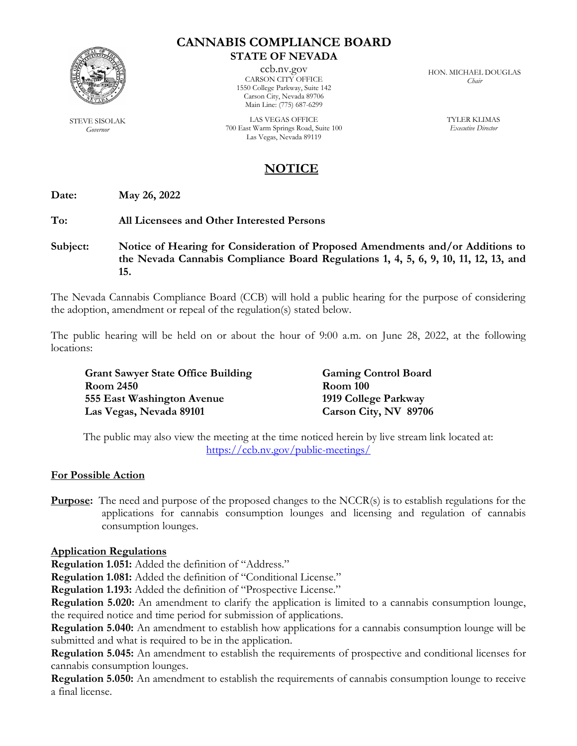

STEVE SISOLAK *Governor*

### **CANNABIS COMPLIANCE BOARD STATE OF NEVADA**

ccb.nv.gov CARSON CITY OFFICE 1550 College Parkway, Suite 142 Carson City, Nevada 89706 Main Line: (775) 687-6299

LAS VEGAS OFFICE 700 East Warm Springs Road, Suite 100 Las Vegas, Nevada 89119

HON. MICHAEL DOUGLAS *Chair*

> TYLER KLIMAS *Executive Director*

# **NOTICE**

**Date: May 26, 2022**

**To: All Licensees and Other Interested Persons**

**Subject: Notice of Hearing for Consideration of Proposed Amendments and/or Additions to the Nevada Cannabis Compliance Board Regulations 1, 4, 5, 6, 9, 10, 11, 12, 13, and 15.** 

The Nevada Cannabis Compliance Board (CCB) will hold a public hearing for the purpose of considering the adoption, amendment or repeal of the regulation(s) stated below.

The public hearing will be held on or about the hour of 9:00 a.m. on June 28, 2022, at the following locations:

| <b>Grant Sawyer State Office Building</b> | <b>Gaming Control Board</b> |
|-------------------------------------------|-----------------------------|
| <b>Room 2450</b>                          | <b>Room 100</b>             |
| 555 East Washington Avenue                | 1919 College Parkway        |
| Las Vegas, Nevada 89101                   | Carson City, NV 89706       |

The public may also view the meeting at the time noticed herein by live stream link located at: <https://ccb.nv.gov/public-meetings/>

### **For Possible Action**

**Purpose:** The need and purpose of the proposed changes to the NCCR(s) is to establish regulations for the applications for cannabis consumption lounges and licensing and regulation of cannabis consumption lounges.

### **Application Regulations**

**Regulation 1.051:** Added the definition of "Address."

**Regulation 1.081:** Added the definition of "Conditional License."

**Regulation 1.193:** Added the definition of "Prospective License."

**Regulation 5.020:** An amendment to clarify the application is limited to a cannabis consumption lounge, the required notice and time period for submission of applications.

**Regulation 5.040:** An amendment to establish how applications for a cannabis consumption lounge will be submitted and what is required to be in the application.

**Regulation 5.045:** An amendment to establish the requirements of prospective and conditional licenses for cannabis consumption lounges.

**Regulation 5.050:** An amendment to establish the requirements of cannabis consumption lounge to receive a final license.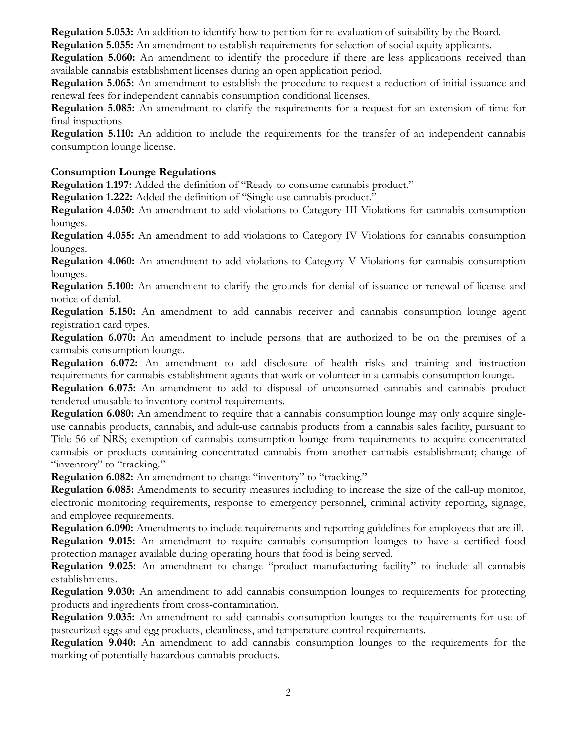**Regulation 5.053:** An addition to identify how to petition for re-evaluation of suitability by the Board.

**Regulation 5.055:** An amendment to establish requirements for selection of social equity applicants.

**Regulation 5.060:** An amendment to identify the procedure if there are less applications received than available cannabis establishment licenses during an open application period.

**Regulation 5.065:** An amendment to establish the procedure to request a reduction of initial issuance and renewal fees for independent cannabis consumption conditional licenses.

**Regulation 5.085:** An amendment to clarify the requirements for a request for an extension of time for final inspections

**Regulation 5.110:** An addition to include the requirements for the transfer of an independent cannabis consumption lounge license.

## **Consumption Lounge Regulations**

**Regulation 1.197:** Added the definition of "Ready-to-consume cannabis product."

**Regulation 1.222:** Added the definition of "Single-use cannabis product."

**Regulation 4.050:** An amendment to add violations to Category III Violations for cannabis consumption lounges.

**Regulation 4.055:** An amendment to add violations to Category IV Violations for cannabis consumption lounges.

**Regulation 4.060:** An amendment to add violations to Category V Violations for cannabis consumption lounges.

**Regulation 5.100:** An amendment to clarify the grounds for denial of issuance or renewal of license and notice of denial.

**Regulation 5.150:** An amendment to add cannabis receiver and cannabis consumption lounge agent registration card types.

**Regulation 6.070:** An amendment to include persons that are authorized to be on the premises of a cannabis consumption lounge.

**Regulation 6.072:** An amendment to add disclosure of health risks and training and instruction requirements for cannabis establishment agents that work or volunteer in a cannabis consumption lounge.

**Regulation 6.075:** An amendment to add to disposal of unconsumed cannabis and cannabis product rendered unusable to inventory control requirements.

**Regulation 6.080:** An amendment to require that a cannabis consumption lounge may only acquire singleuse cannabis products, cannabis, and adult-use cannabis products from a cannabis sales facility, pursuant to Title 56 of NRS; exemption of cannabis consumption lounge from requirements to acquire concentrated cannabis or products containing concentrated cannabis from another cannabis establishment; change of "inventory" to "tracking."

**Regulation 6.082:** An amendment to change "inventory" to "tracking."

**Regulation 6.085:** Amendments to security measures including to increase the size of the call-up monitor, electronic monitoring requirements, response to emergency personnel, criminal activity reporting, signage, and employee requirements.

**Regulation 6.090:** Amendments to include requirements and reporting guidelines for employees that are ill. **Regulation 9.015:** An amendment to require cannabis consumption lounges to have a certified food protection manager available during operating hours that food is being served.

**Regulation 9.025:** An amendment to change "product manufacturing facility" to include all cannabis establishments.

**Regulation 9.030:** An amendment to add cannabis consumption lounges to requirements for protecting products and ingredients from cross-contamination.

**Regulation 9.035:** An amendment to add cannabis consumption lounges to the requirements for use of pasteurized eggs and egg products, cleanliness, and temperature control requirements.

**Regulation 9.040:** An amendment to add cannabis consumption lounges to the requirements for the marking of potentially hazardous cannabis products.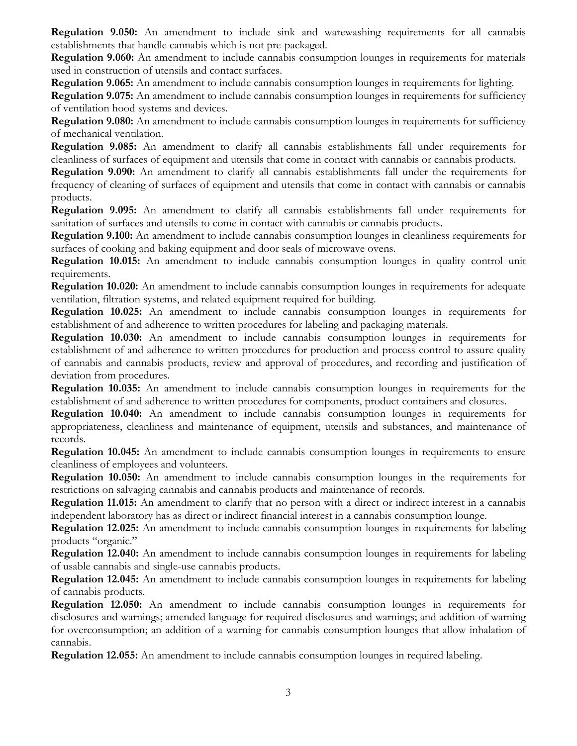**Regulation 9.050:** An amendment to include sink and warewashing requirements for all cannabis establishments that handle cannabis which is not pre-packaged.

**Regulation 9.060:** An amendment to include cannabis consumption lounges in requirements for materials used in construction of utensils and contact surfaces.

**Regulation 9.065:** An amendment to include cannabis consumption lounges in requirements for lighting.

**Regulation 9.075:** An amendment to include cannabis consumption lounges in requirements for sufficiency of ventilation hood systems and devices.

**Regulation 9.080:** An amendment to include cannabis consumption lounges in requirements for sufficiency of mechanical ventilation.

**Regulation 9.085:** An amendment to clarify all cannabis establishments fall under requirements for cleanliness of surfaces of equipment and utensils that come in contact with cannabis or cannabis products.

**Regulation 9.090:** An amendment to clarify all cannabis establishments fall under the requirements for frequency of cleaning of surfaces of equipment and utensils that come in contact with cannabis or cannabis products.

**Regulation 9.095:** An amendment to clarify all cannabis establishments fall under requirements for sanitation of surfaces and utensils to come in contact with cannabis or cannabis products.

**Regulation 9.100:** An amendment to include cannabis consumption lounges in cleanliness requirements for surfaces of cooking and baking equipment and door seals of microwave ovens.

**Regulation 10.015:** An amendment to include cannabis consumption lounges in quality control unit requirements.

**Regulation 10.020:** An amendment to include cannabis consumption lounges in requirements for adequate ventilation, filtration systems, and related equipment required for building.

**Regulation 10.025:** An amendment to include cannabis consumption lounges in requirements for establishment of and adherence to written procedures for labeling and packaging materials.

**Regulation 10.030:** An amendment to include cannabis consumption lounges in requirements for establishment of and adherence to written procedures for production and process control to assure quality of cannabis and cannabis products, review and approval of procedures, and recording and justification of deviation from procedures.

**Regulation 10.035:** An amendment to include cannabis consumption lounges in requirements for the establishment of and adherence to written procedures for components, product containers and closures.

**Regulation 10.040:** An amendment to include cannabis consumption lounges in requirements for appropriateness, cleanliness and maintenance of equipment, utensils and substances, and maintenance of records.

**Regulation 10.045:** An amendment to include cannabis consumption lounges in requirements to ensure cleanliness of employees and volunteers.

**Regulation 10.050:** An amendment to include cannabis consumption lounges in the requirements for restrictions on salvaging cannabis and cannabis products and maintenance of records.

**Regulation 11.015:** An amendment to clarify that no person with a direct or indirect interest in a cannabis independent laboratory has as direct or indirect financial interest in a cannabis consumption lounge.

**Regulation 12.025:** An amendment to include cannabis consumption lounges in requirements for labeling products "organic."

**Regulation 12.040:** An amendment to include cannabis consumption lounges in requirements for labeling of usable cannabis and single-use cannabis products.

**Regulation 12.045:** An amendment to include cannabis consumption lounges in requirements for labeling of cannabis products.

**Regulation 12.050:** An amendment to include cannabis consumption lounges in requirements for disclosures and warnings; amended language for required disclosures and warnings; and addition of warning for overconsumption; an addition of a warning for cannabis consumption lounges that allow inhalation of cannabis.

**Regulation 12.055:** An amendment to include cannabis consumption lounges in required labeling.